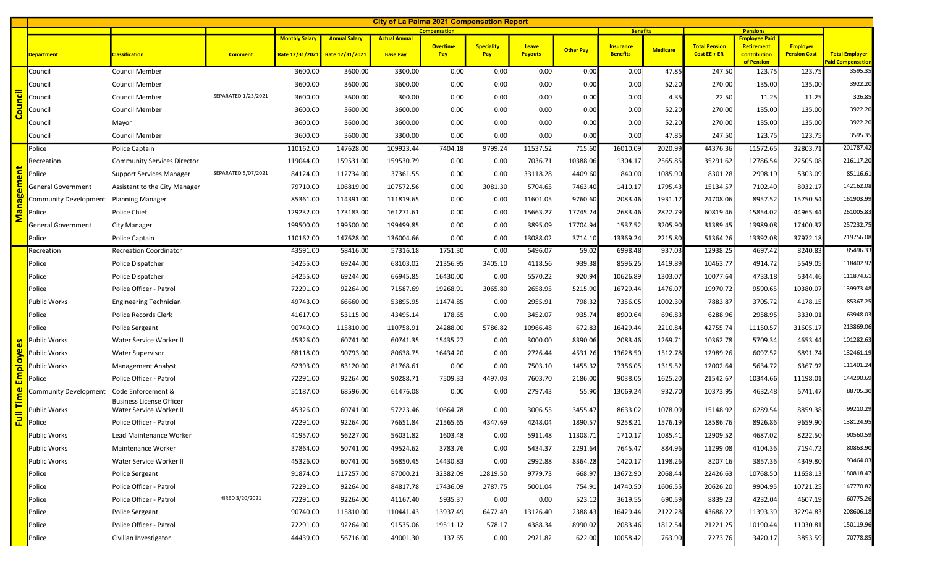| <b>City of La Palma 2021 Compensation Report</b> |                                                       |                                                                                              |           |                                 |                 |                        |                          |                         |                  |                                     |                 |                                        |                                                        |                                        |                                                   |
|--------------------------------------------------|-------------------------------------------------------|----------------------------------------------------------------------------------------------|-----------|---------------------------------|-----------------|------------------------|--------------------------|-------------------------|------------------|-------------------------------------|-----------------|----------------------------------------|--------------------------------------------------------|----------------------------------------|---------------------------------------------------|
|                                                  |                                                       | <b>Compensation</b><br><b>Monthly Salary</b><br><b>Annual Salary</b><br><b>Actual Annual</b> |           |                                 |                 |                        |                          |                         |                  | <b>Benefits</b>                     |                 |                                        | <b>Pensions</b><br>Employee Paid                       |                                        |                                                   |
| <b>Department</b>                                | <b>Classification</b>                                 | <b>Comment</b>                                                                               |           | Rate 12/31/2021 Rate 12/31/2021 | <b>Base Pay</b> | <b>Overtime</b><br>Pay | <b>Speciality</b><br>Pay | Leave<br><b>Payouts</b> | <b>Other Pay</b> | <b>Insurance</b><br><b>Benefits</b> | <b>Medicare</b> | <b>Total Pension</b><br>$Cost EE + ER$ | <b>Retirement</b><br><b>Contribution</b><br>of Pension | <b>Employer</b><br><b>Pension Cost</b> | <b>Total Employer</b><br><b>Paid Compensation</b> |
| Council                                          | <b>Council Member</b>                                 |                                                                                              | 3600.00   | 3600.00                         | 3300.00         | 0.00                   | 0.00                     | 0.00                    | 0.00             | 0.00                                | 47.85           | 247.50                                 | 123.75                                                 | 123.75                                 | 3595.35                                           |
| Council                                          | <b>Council Member</b>                                 |                                                                                              | 3600.00   | 3600.00                         | 3600.00         | 0.00                   | 0.00                     | 0.00                    | 0.00             | 0.00                                | 52.20           | 270.00                                 | 135.00                                                 | 135.00                                 | 3922.20                                           |
| Council                                          | <b>Council Member</b>                                 | SEPARATED 1/23/2021                                                                          | 3600.00   | 3600.00                         | 300.00          | 0.00                   | 0.00                     | 0.00                    | 0.00             | 0.00                                | 4.35            | 22.50                                  | 11.25                                                  | 11.25                                  | 326.85                                            |
| Council                                          | <b>Council Member</b>                                 |                                                                                              | 3600.00   | 3600.00                         | 3600.00         | 0.00                   | 0.00                     | 0.00                    | 0.00             | 0.00                                | 52.20           | 270.00                                 | 135.00                                                 | 135.00                                 | 3922.20                                           |
| Council                                          | Mayor                                                 |                                                                                              | 3600.00   | 3600.00                         | 3600.00         | 0.00                   | 0.00                     | 0.00                    | 0.00             | 0.00                                | 52.20           | 270.00                                 | 135.00                                                 | 135.00                                 | 3922.20                                           |
| Council                                          | <b>Council Member</b>                                 |                                                                                              | 3600.00   | 3600.00                         | 3300.00         | 0.00                   | 0.00                     | 0.00                    | 0.00             | 0.00                                | 47.85           | 247.50                                 | 123.75                                                 | 123.75                                 | 3595.35                                           |
| Police                                           | Police Captain                                        |                                                                                              | 110162.00 | 147628.00                       | 109923.44       | 7404.18                | 9799.24                  | 11537.52                | 715.60           | 16010.09                            | 2020.99         | 44376.36                               | 11572.65                                               | 32803.71                               | 201787.42                                         |
| Recreation                                       | <b>Community Services Director</b>                    |                                                                                              | 119044.00 | 159531.00                       | 159530.79       | 0.00                   | 0.00                     | 7036.71                 | 10388.06         | 1304.17                             | 2565.85         | 35291.62                               | 12786.54                                               | 22505.08                               | 216117.20                                         |
| Police                                           | <b>Support Services Manager</b>                       | SEPARATED 5/07/2021                                                                          | 84124.00  | 112734.00                       | 37361.55        | 0.00                   | 0.00                     | 33118.28                | 4409.60          | 840.00                              | 1085.90         | 8301.28                                | 2998.19                                                | 5303.09                                | 85116.61                                          |
| General Government                               | Assistant to the City Manager                         |                                                                                              | 79710.00  | 106819.00                       | 107572.56       | 0.00                   | 3081.30                  | 5704.65                 | 7463.40          | 1410.17                             | 1795.43         | 15134.57                               | 7102.40                                                | 8032.17                                | 142162.08                                         |
| Community Development                            | <b>Planning Manager</b>                               |                                                                                              | 85361.00  | 114391.00                       | 111819.65       | 0.00                   | 0.00                     | 11601.05                | 9760.60          | 2083.46                             | 1931.17         | 24708.06                               | 8957.52                                                | 15750.54                               | 161903.99                                         |
| Police                                           | Police Chief                                          |                                                                                              | 129232.00 | 173183.00                       | 161271.61       | 0.00                   | 0.00                     | 15663.27                | 17745.24         | 2683.46                             | 2822.79         | 60819.46                               | 15854.02                                               | 44965.44                               | 261005.83                                         |
| <b>General Government</b>                        | City Manager                                          |                                                                                              | 199500.00 | 199500.00                       | 199499.85       | 0.00                   | 0.00                     | 3895.09                 | 17704.94         | 1537.52                             | 3205.90         | 31389.45                               | 13989.08                                               | 17400.37                               | 257232.75                                         |
| Police                                           | Police Captain                                        |                                                                                              | 110162.00 | 147628.00                       | 136004.66       | 0.00                   | 0.00                     | 13088.02                | 3714.10          | 13369.24                            | 2215.80         | 51364.26                               | 13392.08                                               | 37972.18                               | 219756.08                                         |
| Recreation                                       | <b>Recreation Coordinator</b>                         |                                                                                              | 43591.00  | 58416.00                        | 57316.18        | 1751.30                | 0.00                     | 5496.07                 | 59.02            | 6998.48                             | 937.03          | 12938.25                               | 4697.42                                                | 8240.83                                | 85496.33                                          |
| Police                                           | Police Dispatcher                                     |                                                                                              | 54255.00  | 69244.00                        | 68103.02        | 21356.95               | 3405.10                  | 4118.56                 | 939.38           | 8596.25                             | 1419.89         | 10463.77                               | 4914.72                                                | 5549.05                                | 118402.92                                         |
| Police                                           | Police Dispatcher                                     |                                                                                              | 54255.00  | 69244.00                        | 66945.85        | 16430.00               | 0.00                     | 5570.22                 | 920.94           | 10626.89                            | 1303.07         | 10077.64                               | 4733.18                                                | 5344.46                                | 111874.61                                         |
| Police                                           | Police Officer - Patrol                               |                                                                                              | 72291.00  | 92264.00                        | 71587.69        | 19268.91               | 3065.80                  | 2658.95                 | 5215.90          | 16729.44                            | 1476.07         | 19970.72                               | 9590.65                                                | 10380.07                               | 139973.48                                         |
| <b>Public Works</b>                              | <b>Engineering Technician</b>                         |                                                                                              | 49743.00  | 66660.00                        | 53895.95        | 11474.85               | 0.00                     | 2955.91                 | 798.32           | 7356.05                             | 1002.30         | 7883.87                                | 3705.72                                                | 4178.15                                | 85367.25                                          |
| Police                                           | Police Records Clerk                                  |                                                                                              | 41617.00  | 53115.00                        | 43495.14        | 178.65                 | 0.00                     | 3452.07                 | 935.74           | 8900.64                             | 696.83          | 6288.96                                | 2958.95                                                | 3330.01                                | 63948.03                                          |
| Police                                           | <b>Police Sergeant</b>                                |                                                                                              | 90740.00  | 115810.00                       | 110758.91       | 24288.00               | 5786.82                  | 10966.48                | 672.83           | 16429.44                            | 2210.84         | 42755.74                               | 11150.57                                               | 31605.17                               | 213869.06                                         |
| <mark>ທ</mark> Public Works                      | Water Service Worker II                               |                                                                                              | 45326.00  | 60741.00                        | 60741.35        | 15435.27               | 0.00                     | 3000.00                 | 8390.06          | 2083.46                             | 1269.71         | 10362.78                               | 5709.34                                                | 4653.44                                | 101282.63                                         |
| Public Works                                     | <b>Water Supervisor</b>                               |                                                                                              | 68118.00  | 90793.00                        | 80638.75        | 16434.20               | 0.00                     | 2726.44                 | 4531.26          | 13628.50                            | 1512.78         | 12989.26                               | 6097.52                                                | 6891.74                                | 132461.19                                         |
| <b>Public Works</b>                              | Management Analyst                                    |                                                                                              | 62393.00  | 83120.00                        | 81768.61        | 0.00                   | 0.00                     | 7503.10                 | 1455.32          | 7356.05                             | 1315.52         | 12002.64                               | 5634.72                                                | 6367.92                                | 111401.24                                         |
| Police                                           | Police Officer - Patrol                               |                                                                                              | 72291.00  | 92264.00                        | 90288.71        | 7509.33                | 4497.03                  | 7603.70                 | 2186.00          | 9038.05                             | 1625.20         | 21542.67                               | 10344.66                                               | 11198.01                               | 144290.69                                         |
| Community Development                            | Code Enforcement &<br><b>Business License Officer</b> |                                                                                              | 51187.00  | 68596.00                        | 61476.08        | 0.00                   | 0.00                     | 2797.43                 | 55.90            | 13069.24                            | 932.70          | 10373.95                               | 4632.48                                                | 5741.47                                | 88705.30                                          |
| Public Works                                     | Water Service Worker II                               |                                                                                              | 45326.00  | 60741.00                        | 57223.46        | 10664.78               | 0.00                     | 3006.55                 | 3455.47          | 8633.02                             | 1078.09         | 15148.92                               | 6289.54                                                | 8859.38                                | 99210.29                                          |
| Police                                           | Police Officer - Patrol                               |                                                                                              | 72291.00  | 92264.00                        | 76651.84        | 21565.65               | 4347.69                  | 4248.04                 | 1890.57          | 9258.21                             | 1576.19         | 18586.76                               | 8926.86                                                | 9659.90                                | 138124.95                                         |
| Public Works                                     | Lead Maintenance Worker                               |                                                                                              | 41957.00  | 56227.00                        | 56031.82        | 1603.48                | 0.00                     | 5911.48                 | 11308.71         | 1710.17                             | 1085.41         | 12909.52                               | 4687.02                                                | 8222.50                                | 90560.59                                          |
| Public Works                                     | Maintenance Worker                                    |                                                                                              | 37864.00  | 50741.00                        | 49524.62        | 3783.76                | 0.00                     | 5434.37                 | 2291.64          | 7645.47                             | 884.96          | 11299.08                               | 4104.36                                                | 7194.72                                | 80863.90                                          |
| <b>Public Works</b>                              | Water Service Worker II                               |                                                                                              | 45326.00  | 60741.00                        | 56850.45        | 14430.83               | 0.00                     | 2992.88                 | 8364.28          | 1420.17                             | 1198.26         | 8207.16                                | 3857.36                                                | 4349.80                                | 93464.03                                          |
| Police                                           | Police Sergeant                                       |                                                                                              | 91874.00  | 117257.00                       | 87000.21        | 32382.09               | 12819.50                 | 9779.73                 | 668.97           | 13672.90                            | 2068.44         | 22426.63                               | 10768.50                                               | 11658.13                               | 180818.47                                         |
| Police                                           | Police Officer - Patrol                               |                                                                                              | 72291.00  | 92264.00                        | 84817.78        | 17436.09               | 2787.75                  | 5001.04                 | 754.91           | 14740.50                            | 1606.55         | 20626.20                               | 9904.95                                                | 10721.25                               | 147770.82                                         |
| Police                                           | Police Officer - Patrol                               | HIRED 3/20/2021                                                                              | 72291.00  | 92264.00                        | 41167.40        | 5935.37                | 0.00                     | 0.00                    | 523.12           | 3619.55                             | 690.59          | 8839.23                                | 4232.04                                                | 4607.19                                | 60775.26                                          |
| Police                                           | Police Sergeant                                       |                                                                                              | 90740.00  | 115810.00                       | 110441.43       | 13937.49               | 6472.49                  | 13126.40                | 2388.43          | 16429.44                            | 2122.28         | 43688.22                               | 11393.39                                               | 32294.83                               | 208606.18                                         |
| Police                                           | Police Officer - Patrol                               |                                                                                              | 72291.00  | 92264.00                        | 91535.06        | 19511.12               | 578.17                   | 4388.34                 | 8990.02          | 2083.46                             | 1812.54         | 21221.25                               | 10190.44                                               | 11030.81                               | 150119.96                                         |
| Police                                           | Civilian Investigator                                 |                                                                                              | 44439.00  | 56716.00                        | 49001.30        | 137.65                 | 0.00                     | 2921.82                 | 622.00           | 10058.42                            | 763.90          | 7273.76                                | 3420.17                                                | 3853.59                                | 70778.85                                          |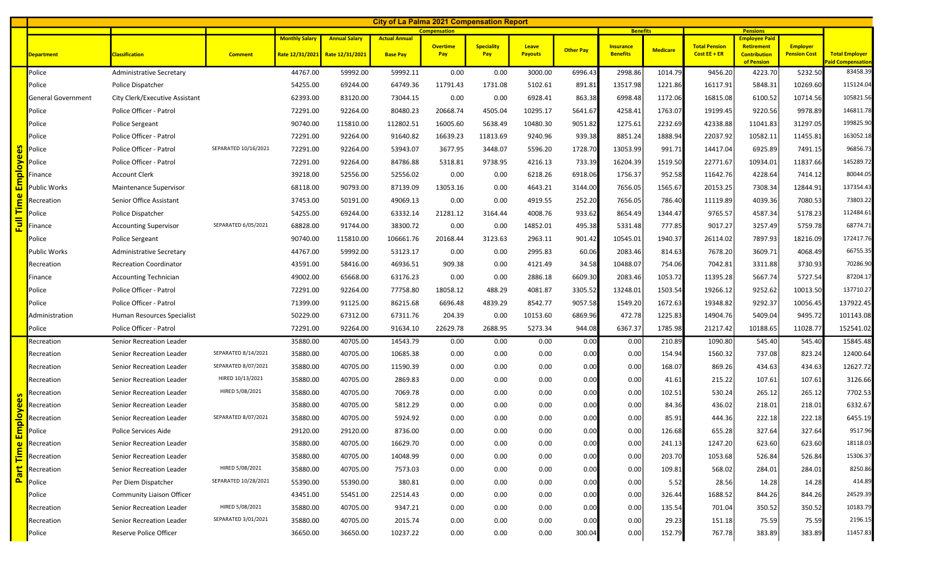|         | <b>City of La Palma 2021 Compensation Report</b><br><b>Pensions</b> |                                  |                      |          |                                                                                              |                 |                 |                   |                |                  |                  |                 |                      |                                           |                     |                                            |
|---------|---------------------------------------------------------------------|----------------------------------|----------------------|----------|----------------------------------------------------------------------------------------------|-----------------|-----------------|-------------------|----------------|------------------|------------------|-----------------|----------------------|-------------------------------------------|---------------------|--------------------------------------------|
|         |                                                                     |                                  |                      |          | <b>Compensation</b><br><b>Monthly Salary</b><br><b>Annual Salary</b><br><b>Actual Annual</b> |                 |                 |                   |                |                  |                  | <b>Benefits</b> |                      |                                           |                     |                                            |
|         |                                                                     |                                  |                      |          |                                                                                              |                 | <b>Overtime</b> | <b>Speciality</b> | Leave          | <b>Other Pay</b> | <b>Insurance</b> | <b>Medicare</b> | <b>Total Pension</b> | <b>Employee Paid</b><br><b>Retirement</b> | <b>Employer</b>     |                                            |
|         | Department                                                          | <b>Classification</b>            | <b>Comment</b>       |          | Rate 12/31/2021 Rate 12/31/2021                                                              | <b>Base Pay</b> | Pay             | Pay               | <b>Payouts</b> |                  | <b>Benefits</b>  |                 | Cost $EE + ER$       | <b>Contribution</b><br>of Pension         | <b>Pension Cost</b> | <b>Total Employer</b><br>Paid Compensation |
|         | Police                                                              | Administrative Secretary         |                      | 44767.00 | 59992.00                                                                                     | 59992.11        | 0.00            | 0.00              | 3000.00        | 6996.43          | 2998.86          | 1014.79         | 9456.20              | 4223.70                                   | 5232.50             | 83458.39                                   |
|         | Police                                                              | Police Dispatcher                |                      | 54255.00 | 69244.00                                                                                     | 64749.36        | 11791.43        | 1731.08           | 5102.61        | 891.81           | 13517.98         | 1221.86         | 16117.91             | 5848.31                                   | 10269.60            | 115124.04                                  |
|         | General Government                                                  | City Clerk/Executive Assistant   |                      | 62393.00 | 83120.00                                                                                     | 73044.15        | 0.00            | 0.00              | 6928.41        | 863.38           | 6998.48          | 1172.06         | 16815.08             | 6100.52                                   | 10714.56            | 105821.56                                  |
|         | Police                                                              | Police Officer - Patrol          |                      | 72291.00 | 92264.00                                                                                     | 80480.23        | 20668.74        | 4505.04           | 10295.17       | 5641.67          | 4258.41          | 1763.07         | 19199.45             | 9220.56                                   | 9978.89             | 146811.78                                  |
|         | Police                                                              | Police Sergeant                  |                      | 90740.00 | 115810.00                                                                                    | 112802.51       | 16005.60        | 5638.49           | 10480.30       | 9051.82          | 1275.61          | 2232.69         | 42338.88             | 11041.83                                  | 31297.05            | 199825.90                                  |
|         | Police                                                              | Police Officer - Patrol          |                      | 72291.00 | 92264.00                                                                                     | 91640.82        | 16639.23        | 11813.69          | 9240.96        | 939.38           | 8851.24          | 1888.94         | 22037.92             | 10582.11                                  | 11455.81            | 163052.18                                  |
|         | Police                                                              | Police Officer - Patrol          | SEPARATED 10/16/2021 | 72291.00 | 92264.00                                                                                     | 53943.07        | 3677.95         | 3448.07           | 5596.20        | 1728.70          | 13053.99         | 991.71          | 14417.04             | 6925.89                                   | 7491.15             | 96856.73                                   |
|         | Police                                                              | Police Officer - Patrol          |                      | 72291.00 | 92264.00                                                                                     | 84786.88        | 5318.81         | 9738.95           | 4216.13        | 733.39           | 16204.39         | 1519.50         | 22771.67             | 10934.01                                  | 11837.66            | 145289.72                                  |
|         | Finance                                                             | <b>Account Clerk</b>             |                      | 39218.00 | 52556.00                                                                                     | 52556.02        | 0.00            | 0.00              | 6218.26        | 6918.06          | 1756.37          | 952.58          | 11642.76             | 4228.64                                   | 7414.12             | 80044.05                                   |
|         | Public Works                                                        | <b>Maintenance Supervisor</b>    |                      | 68118.00 | 90793.00                                                                                     | 87139.09        | 13053.16        | 0.00              | 4643.21        | 3144.00          | 7656.05          | 1565.67         | 20153.25             | 7308.34                                   | 12844.91            | 137354.43                                  |
|         | Recreation                                                          | Senior Office Assistant          |                      | 37453.00 | 50191.00                                                                                     | 49069.13        | 0.00            | 0.00              | 4919.55        | 252.20           | 7656.05          | 786.40          | 11119.89             | 4039.36                                   | 7080.53             | 73803.22                                   |
|         | Police                                                              | Police Dispatcher                |                      | 54255.00 | 69244.00                                                                                     | 63332.14        | 21281.12        | 3164.44           | 4008.76        | 933.62           | 8654.49          | 1344.47         | 9765.57              | 4587.34                                   | 5178.23             | 112484.61                                  |
|         | Finance                                                             | <b>Accounting Supervisor</b>     | SEPARATED 6/05/2021  | 68828.00 | 91744.00                                                                                     | 38300.72        | 0.00            | 0.00              | 14852.01       | 495.38           | 5331.48          | 777.85          | 9017.27              | 3257.49                                   | 5759.78             | 68774.71                                   |
|         | Police                                                              | Police Sergeant                  |                      | 90740.00 | 115810.00                                                                                    | 106661.76       | 20168.44        | 3123.63           | 2963.11        | 901.42           | 10545.01         | 1940.37         | 26114.02             | 7897.93                                   | 18216.09            | 172417.76                                  |
|         | Public Works                                                        | <b>Administrative Secretary</b>  |                      | 44767.00 | 59992.00                                                                                     | 53123.17        | 0.00            | 0.00              | 2995.83        | 60.06            | 2083.46          | 814.63          | 7678.20              | 3609.71                                   | 4068.49             | 66755.35                                   |
|         | Recreation                                                          | <b>Recreation Coordinator</b>    |                      | 43591.00 | 58416.00                                                                                     | 46936.51        | 909.38          | 0.00              | 4121.49        | 34.58            | 10488.07         | 754.06          | 7042.81              | 3311.88                                   | 3730.93             | 70286.90                                   |
|         | Finance                                                             | <b>Accounting Technician</b>     |                      | 49002.00 | 65668.00                                                                                     | 63176.23        | 0.00            | 0.00              | 2886.18        | 6609.30          | 2083.46          | 1053.72         | 11395.28             | 5667.74                                   | 5727.54             | 87204.17                                   |
|         | Police                                                              | Police Officer - Patrol          |                      | 72291.00 | 92264.00                                                                                     | 77758.80        | 18058.12        | 488.29            | 4081.87        | 3305.52          | 13248.01         | 1503.54         | 19266.12             | 9252.62                                   | 10013.50            | 137710.27                                  |
|         | Police                                                              | Police Officer - Patrol          |                      | 71399.00 | 91125.00                                                                                     | 86215.68        | 6696.48         | 4839.29           | 8542.77        | 9057.58          | 1549.20          | 1672.63         | 19348.82             | 9292.37                                   | 10056.45            | 137922.45                                  |
|         | Administration                                                      | Human Resources Specialist       |                      | 50229.00 | 67312.00                                                                                     | 67311.76        | 204.39          | 0.00              | 10153.60       | 6869.96          | 472.78           | 1225.83         | 14904.76             | 5409.04                                   | 9495.72             | 101143.08                                  |
|         | Police                                                              | Police Officer - Patrol          |                      | 72291.00 | 92264.00                                                                                     | 91634.10        | 22629.78        | 2688.95           | 5273.34        | 944.08           | 6367.37          | 1785.98         | 21217.42             | 10188.65                                  | 11028.7             | 152541.02                                  |
|         | Recreation                                                          | Senior Recreation Leader         |                      | 35880.00 | 40705.00                                                                                     | 14543.79        | 0.00            | 0.00              | 0.00           | 0.00             | 0.00             | 210.89          | 1090.80              | 545.40                                    | 545.40              | 15845.48                                   |
|         | Recreation                                                          | Senior Recreation Leader         | SEPARATED 8/14/2021  | 35880.00 | 40705.00                                                                                     | 10685.38        | 0.00            | 0.00              | 0.00           | 0.00             | 0.00             | 154.94          | 1560.32              | 737.08                                    | 823.24              | 12400.64                                   |
|         | Recreation                                                          | Senior Recreation Leader         | SEPARATED 8/07/2021  | 35880.00 | 40705.00                                                                                     | 11590.39        | 0.00            | 0.00              | 0.00           | 0.00             | 0.00             | 168.07          | 869.26               | 434.63                                    | 434.63              | 12627.72                                   |
|         | Recreation                                                          | Senior Recreation Leader         | HIRED 10/13/2021     | 35880.00 | 40705.00                                                                                     | 2869.83         | 0.00            | 0.00              | 0.00           | 0.00             | 0.00             | 41.61           | 215.22               | 107.61                                    | 107.61              | 3126.66                                    |
|         | Recreation                                                          | Senior Recreation Leader         | HIRED 5/08/2021      | 35880.00 | 40705.00                                                                                     | 7069.78         | 0.00            | 0.00              | 0.00           | 0.00             | 0.00             | 102.51          | 530.24               | 265.12                                    | 265.12              | 7702.53                                    |
|         | Recreation                                                          | Senior Recreation Leader         |                      | 35880.00 | 40705.00                                                                                     | 5812.29         | 0.00            | 0.00              | 0.00           | 0.00             | 0.00             | 84.36           | 436.02               | 218.01                                    | 218.01              | 6332.67                                    |
|         | Recreation                                                          | Senior Recreation Leader         | SEPARATED 8/07/2021  | 35880.00 | 40705.00                                                                                     | 5924.92         | 0.00            | 0.00              | 0.00           | 0.00             | 0.00             | 85.91           | 444.36               | 222.18                                    | 222.18              | 6455.19                                    |
| Ξ.<br>ш | Police                                                              | Police Services Aide             |                      | 29120.00 | 29120.00                                                                                     | 8736.00         | 0.00            | 0.00              | 0.00           | 0.00             | 0.00             | 126.68          | 655.28               | 327.64                                    | 327.64              | 9517.96                                    |
|         | Recreation                                                          | Senior Recreation Leader         |                      | 35880.00 | 40705.00                                                                                     | 16629.70        | 0.00            | 0.00              | 0.00           | 0.00             | 0.00             | 241.13          | 1247.20              | 623.60                                    | 623.60              | 18118.03                                   |
|         | Recreation                                                          | Senior Recreation Leader         |                      | 35880.00 | 40705.00                                                                                     | 14048.99        | 0.00            | 0.00              | 0.00           | 0.00             | 0.00             | 203.70          | 1053.68              | 526.84                                    | 526.84              | 15306.37                                   |
|         | Recreation                                                          | Senior Recreation Leader         | HIRED 5/08/2021      | 35880.00 | 40705.00                                                                                     | 7573.03         | 0.00            | 0.00              | 0.00           | 0.00             | 0.00             | 109.81          | 568.02               | 284.01                                    | 284.01              | 8250.86                                    |
|         | Police                                                              | Per Diem Dispatcher              | SEPARATED 10/28/2021 | 55390.00 | 55390.00                                                                                     | 380.81          | 0.00            | 0.00              | 0.00           | 0.00             | 0.00             | 5.52            | 28.56                | 14.28                                     | 14.28               | 414.89                                     |
|         | Police                                                              | <b>Community Liaison Officer</b> |                      | 43451.00 | 55451.00                                                                                     | 22514.43        | 0.00            | 0.00              | 0.00           | 0.00             | 0.00             | 326.44          | 1688.52              | 844.26                                    | 844.26              | 24529.39                                   |
|         | Recreation                                                          | Senior Recreation Leader         | HIRED 5/08/2021      | 35880.00 | 40705.00                                                                                     | 9347.21         | 0.00            | 0.00              | 0.00           | 0.00             | 0.00             | 135.54          | 701.04               | 350.52                                    | 350.52              | 10183.79                                   |
|         | Recreation                                                          | Senior Recreation Leader         | SEPARATED 3/01/2021  | 35880.00 | 40705.00                                                                                     | 2015.74         | 0.00            | 0.00              | 0.00           | 0.00             | 0.00             | 29.23           | 151.18               | 75.59                                     | 75.59               | 2196.15                                    |
|         | Police                                                              | Reserve Police Officer           |                      | 36650.00 | 36650.00                                                                                     | 10237.22        | 0.00            | 0.00              | 0.00           | 300.04           | 0.00             | 152.79          | 767.78               | 383.89                                    | 383.89              | 11457.83                                   |